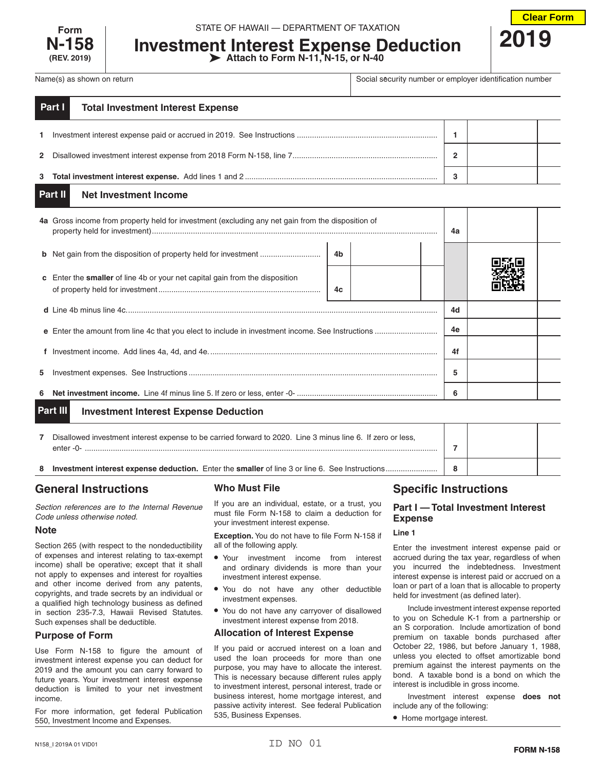

**Investment Interest Expense Deduction Attach to Form N-11, N-15, or N-40**



Name(s) as shown on return **Social security number or employer identification number** or employer identification number

| Part I<br><b>Total Investment Interest Expense</b> |   |  |
|----------------------------------------------------|---|--|
|                                                    |   |  |
|                                                    | 2 |  |
|                                                    |   |  |

#### **Net Investment Income Part II**

|                                                          | 4a Gross income from property held for investment (excluding any net gain from the disposition of |    |  | 4a |    |  |  |
|----------------------------------------------------------|---------------------------------------------------------------------------------------------------|----|--|----|----|--|--|
|                                                          | <b>b</b> Net gain from the disposition of property held for investment                            | 4b |  |    |    |  |  |
|                                                          | <b>c</b> Enter the <b>smaller</b> of line 4b or your net capital gain from the disposition        | 4c |  |    |    |  |  |
|                                                          |                                                                                                   |    |  |    | 4d |  |  |
|                                                          |                                                                                                   |    |  |    | 4e |  |  |
|                                                          |                                                                                                   |    |  |    | 4f |  |  |
| 5.                                                       |                                                                                                   |    |  |    | 5  |  |  |
| 6                                                        |                                                                                                   |    |  | 6  |    |  |  |
| Part III<br><b>Investment Interest Expense Deduction</b> |                                                                                                   |    |  |    |    |  |  |

|   | Disallowed investment interest expense to be carried forward to 2020. Line 3 minus line 6. If zero or less,<br>$enter -0-$ |   |  |
|---|----------------------------------------------------------------------------------------------------------------------------|---|--|
| 8 | <b>Investment interest expense deduction.</b> Enter the <b>smaller</b> of line 3 or line 6. See Instructions.              | 8 |  |

# **General Instructions**

*Section references are to the Internal Revenue Code unless otherwise noted.*

# **Note**

Section 265 (with respect to the nondeductibility of expenses and interest relating to tax-exempt income) shall be operative; except that it shall not apply to expenses and interest for royalties and other income derived from any patents, copyrights, and trade secrets by an individual or a qualified high technology business as defined in section 235-7.3, Hawaii Revised Statutes. Such expenses shall be deductible.

# **Purpose of Form**

Use Form N-158 to figure the amount of investment interest expense you can deduct for 2019 and the amount you can carry forward to future years. Your investment interest expense deduction is limited to your net investment income.

For more information, get federal Publication 550, Investment Income and Expenses.

# **Who Must File**

If you are an individual, estate, or a trust, you must file Form N-158 to claim a deduction for your investment interest expense.

**Exception.** You do not have to file Form N-158 if all of the following apply.

- Your investment income from interest and ordinary dividends is more than your investment interest expense.
- You do not have any other deductible investment expenses.
- You do not have any carryover of disallowed investment interest expense from 2018.

# **Allocation of Interest Expense**

If you paid or accrued interest on a loan and used the loan proceeds for more than one purpose, you may have to allocate the interest. This is necessary because different rules apply to investment interest, personal interest, trade or business interest, home mortgage interest, and passive activity interest. See federal Publication 535, Business Expenses.

# **Specific Instructions**

# **Part I — Total Investment Interest Expense**

# **Line 1**

Enter the investment interest expense paid or accrued during the tax year, regardless of when you incurred the indebtedness. Investment interest expense is interest paid or accrued on a loan or part of a loan that is allocable to property held for investment (as defined later).

Include investment interest expense reported to you on Schedule K-1 from a partnership or an S corporation. Include amortization of bond premium on taxable bonds purchased after October 22, 1986, but before January 1, 1988, unless you elected to offset amortizable bond premium against the interest payments on the bond. A taxable bond is a bond on which the interest is includible in gross income.

Investment interest expense **does not** include any of the following:

• Home mortgage interest.